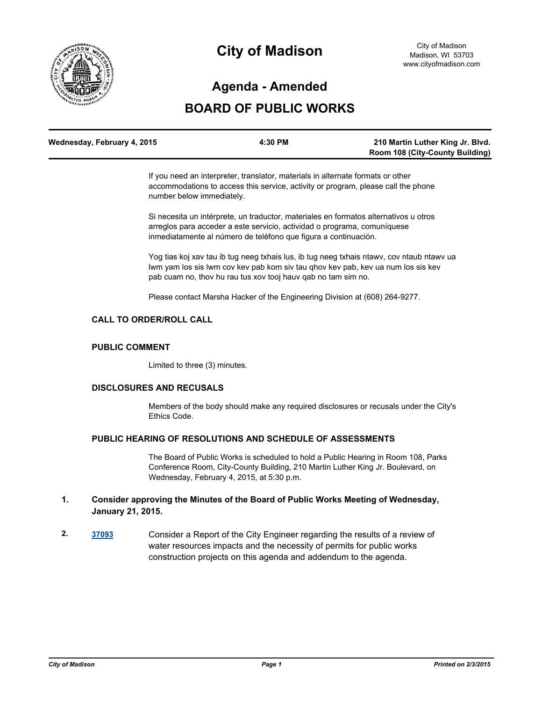

# **City of Madison**

## **Agenda - Amended**

## **BOARD OF PUBLIC WORKS**

| Wednesday, February 4, 2015 | 4:30 PM | 210 Martin Luther King Jr. Blvd.       |
|-----------------------------|---------|----------------------------------------|
|                             |         | <b>Room 108 (City-County Building)</b> |

If you need an interpreter, translator, materials in alternate formats or other accommodations to access this service, activity or program, please call the phone number below immediately.

Si necesita un intérprete, un traductor, materiales en formatos alternativos u otros arreglos para acceder a este servicio, actividad o programa, comuníquese inmediatamente al número de teléfono que figura a continuación.

Yog tias koj xav tau ib tug neeg txhais lus, ib tug neeg txhais ntawv, cov ntaub ntawv ua lwm yam los sis lwm cov kev pab kom siv tau qhov kev pab, kev ua num los sis kev pab cuam no, thov hu rau tus xov tooj hauv qab no tam sim no.

Please contact Marsha Hacker of the Engineering Division at (608) 264-9277.

## **CALL TO ORDER/ROLL CALL**

## **PUBLIC COMMENT**

Limited to three (3) minutes.

#### **DISCLOSURES AND RECUSALS**

Members of the body should make any required disclosures or recusals under the City's Ethics Code.

## **PUBLIC HEARING OF RESOLUTIONS AND SCHEDULE OF ASSESSMENTS**

The Board of Public Works is scheduled to hold a Public Hearing in Room 108, Parks Conference Room, City-County Building, 210 Martin Luther King Jr. Boulevard, on Wednesday, February 4, 2015, at 5:30 p.m.

## **1. Consider approving the Minutes of the Board of Public Works Meeting of Wednesday, January 21, 2015.**

**2. [37093](http://madison.legistar.com/gateway.aspx?m=l&id=/matter.aspx?key=39947)** Consider a Report of the City Engineer regarding the results of a review of water resources impacts and the necessity of permits for public works construction projects on this agenda and addendum to the agenda.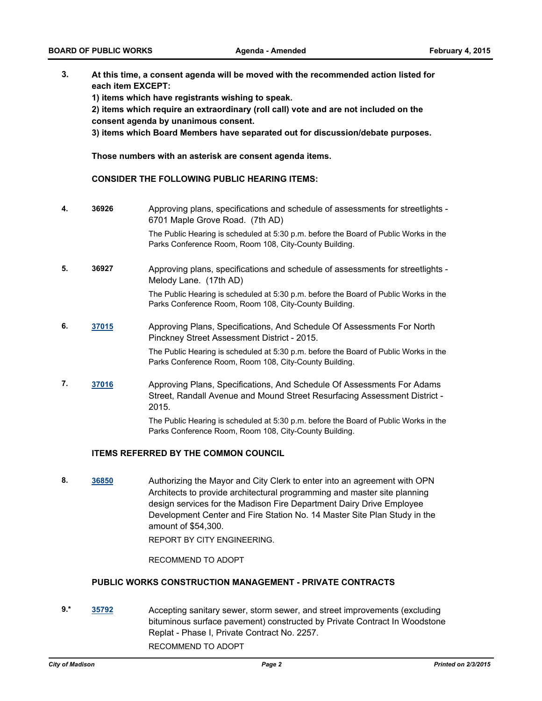**3. At this time, a consent agenda will be moved with the recommended action listed for each item EXCEPT:**

**1) items which have registrants wishing to speak.**

**2) items which require an extraordinary (roll call) vote and are not included on the consent agenda by unanimous consent.**

**3) items which Board Members have separated out for discussion/debate purposes.** 

**Those numbers with an asterisk are consent agenda items.**

#### **CONSIDER THE FOLLOWING PUBLIC HEARING ITEMS:**

**4. 36926** Approving plans, specifications and schedule of assessments for streetlights - 6701 Maple Grove Road. (7th AD)

> The Public Hearing is scheduled at 5:30 p.m. before the Board of Public Works in the Parks Conference Room, Room 108, City-County Building.

**5. 36927** Approving plans, specifications and schedule of assessments for streetlights - Melody Lane. (17th AD)

The Public Hearing is scheduled at 5:30 p.m. before the Board of Public Works in the Parks Conference Room, Room 108, City-County Building.

**6. [37015](http://madison.legistar.com/gateway.aspx?m=l&id=/matter.aspx?key=39896)** Approving Plans, Specifications, And Schedule Of Assessments For North Pinckney Street Assessment District - 2015.

The Public Hearing is scheduled at 5:30 p.m. before the Board of Public Works in the Parks Conference Room, Room 108, City-County Building.

**7. [37016](http://madison.legistar.com/gateway.aspx?m=l&id=/matter.aspx?key=39897)** Approving Plans, Specifications, And Schedule Of Assessments For Adams Street, Randall Avenue and Mound Street Resurfacing Assessment District - 2015.

> The Public Hearing is scheduled at 5:30 p.m. before the Board of Public Works in the Parks Conference Room, Room 108, City-County Building.

#### **ITEMS REFERRED BY THE COMMON COUNCIL**

**8. [36850](http://madison.legistar.com/gateway.aspx?m=l&id=/matter.aspx?key=39754)** Authorizing the Mayor and City Clerk to enter into an agreement with OPN Architects to provide architectural programming and master site planning design services for the Madison Fire Department Dairy Drive Employee Development Center and Fire Station No. 14 Master Site Plan Study in the amount of \$54,300.

REPORT BY CITY ENGINEERING.

RECOMMEND TO ADOPT

## **PUBLIC WORKS CONSTRUCTION MANAGEMENT - PRIVATE CONTRACTS**

**9.\* [35792](http://madison.legistar.com/gateway.aspx?m=l&id=/matter.aspx?key=38839)** Accepting sanitary sewer, storm sewer, and street improvements (excluding bituminous surface pavement) constructed by Private Contract In Woodstone Replat - Phase I, Private Contract No. 2257. RECOMMEND TO ADOPT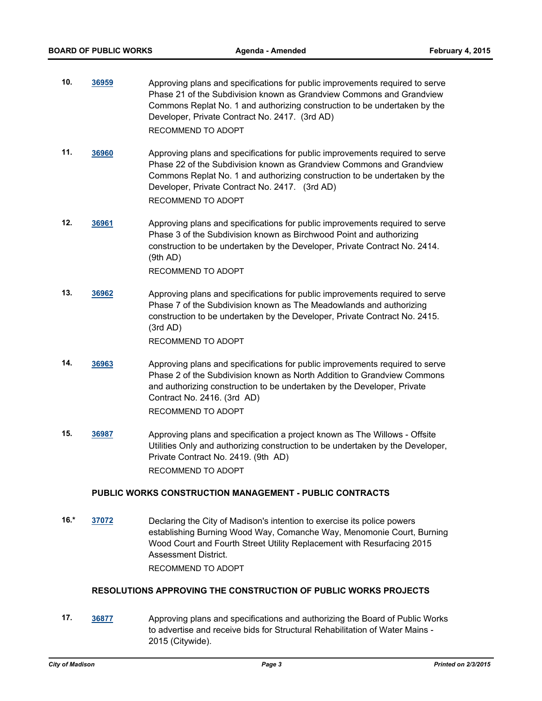- **10. [36959](http://madison.legistar.com/gateway.aspx?m=l&id=/matter.aspx?key=39852)** Approving plans and specifications for public improvements required to serve Phase 21 of the Subdivision known as Grandview Commons and Grandview Commons Replat No. 1 and authorizing construction to be undertaken by the Developer, Private Contract No. 2417. (3rd AD) RECOMMEND TO ADOPT
- **11. [36960](http://madison.legistar.com/gateway.aspx?m=l&id=/matter.aspx?key=39853)** Approving plans and specifications for public improvements required to serve Phase 22 of the Subdivision known as Grandview Commons and Grandview Commons Replat No. 1 and authorizing construction to be undertaken by the Developer, Private Contract No. 2417. (3rd AD) RECOMMEND TO ADOPT
- **12. [36961](http://madison.legistar.com/gateway.aspx?m=l&id=/matter.aspx?key=39854)** Approving plans and specifications for public improvements required to serve Phase 3 of the Subdivision known as Birchwood Point and authorizing construction to be undertaken by the Developer, Private Contract No. 2414. (9th AD)

RECOMMEND TO ADOPT

- **13. [36962](http://madison.legistar.com/gateway.aspx?m=l&id=/matter.aspx?key=39855)** Approving plans and specifications for public improvements required to serve Phase 7 of the Subdivision known as The Meadowlands and authorizing construction to be undertaken by the Developer, Private Contract No. 2415. (3rd AD) RECOMMEND TO ADOPT
- **14. [36963](http://madison.legistar.com/gateway.aspx?m=l&id=/matter.aspx?key=39856)** Approving plans and specifications for public improvements required to serve Phase 2 of the Subdivision known as North Addition to Grandview Commons and authorizing construction to be undertaken by the Developer, Private Contract No. 2416. (3rd AD) RECOMMEND TO ADOPT
- **15. [36987](http://madison.legistar.com/gateway.aspx?m=l&id=/matter.aspx?key=39871)** Approving plans and specification a project known as The Willows Offsite Utilities Only and authorizing construction to be undertaken by the Developer, Private Contract No. 2419. (9th AD) RECOMMEND TO ADOPT

## **PUBLIC WORKS CONSTRUCTION MANAGEMENT - PUBLIC CONTRACTS**

**16.\* [37072](http://madison.legistar.com/gateway.aspx?m=l&id=/matter.aspx?key=39928)** Declaring the City of Madison's intention to exercise its police powers establishing Burning Wood Way, Comanche Way, Menomonie Court, Burning Wood Court and Fourth Street Utility Replacement with Resurfacing 2015 Assessment District.

RECOMMEND TO ADOPT

## **RESOLUTIONS APPROVING THE CONSTRUCTION OF PUBLIC WORKS PROJECTS**

**17. [36877](http://madison.legistar.com/gateway.aspx?m=l&id=/matter.aspx?key=39773)** Approving plans and specifications and authorizing the Board of Public Works to advertise and receive bids for Structural Rehabilitation of Water Mains - 2015 (Citywide).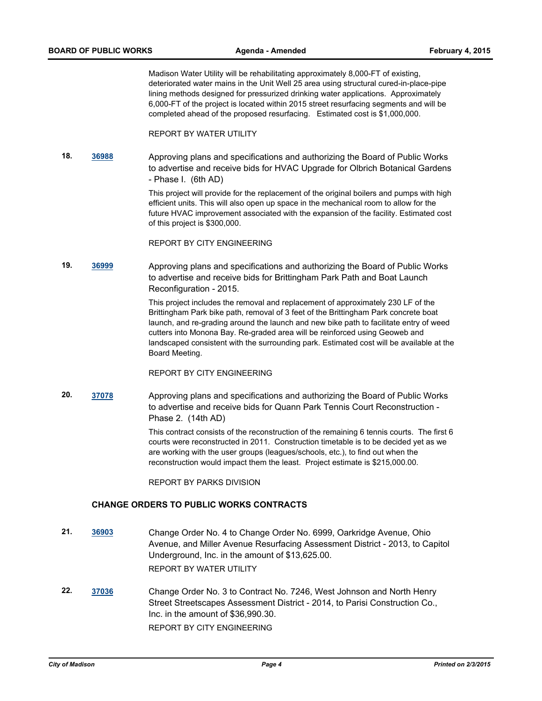Madison Water Utility will be rehabilitating approximately 8,000-FT of existing, deteriorated water mains in the Unit Well 25 area using structural cured-in-place-pipe lining methods designed for pressurized drinking water applications. Approximately 6,000-FT of the project is located within 2015 street resurfacing segments and will be completed ahead of the proposed resurfacing. Estimated cost is \$1,000,000.

#### REPORT BY WATER UTILITY

**18. [36988](http://madison.legistar.com/gateway.aspx?m=l&id=/matter.aspx?key=39872)** Approving plans and specifications and authorizing the Board of Public Works to advertise and receive bids for HVAC Upgrade for Olbrich Botanical Gardens - Phase I. (6th AD)

> This project will provide for the replacement of the original boilers and pumps with high efficient units. This will also open up space in the mechanical room to allow for the future HVAC improvement associated with the expansion of the facility. Estimated cost of this project is \$300,000.

REPORT BY CITY ENGINEERING

**19. [36999](http://madison.legistar.com/gateway.aspx?m=l&id=/matter.aspx?key=39883)** Approving plans and specifications and authorizing the Board of Public Works to advertise and receive bids for Brittingham Park Path and Boat Launch Reconfiguration - 2015.

> This project includes the removal and replacement of approximately 230 LF of the Brittingham Park bike path, removal of 3 feet of the Brittingham Park concrete boat launch, and re-grading around the launch and new bike path to facilitate entry of weed cutters into Monona Bay. Re-graded area will be reinforced using Geoweb and landscaped consistent with the surrounding park. Estimated cost will be available at the Board Meeting.

## REPORT BY CITY ENGINEERING

**20. [37078](http://madison.legistar.com/gateway.aspx?m=l&id=/matter.aspx?key=39934)** Approving plans and specifications and authorizing the Board of Public Works to advertise and receive bids for Quann Park Tennis Court Reconstruction - Phase 2. (14th AD)

> This contract consists of the reconstruction of the remaining 6 tennis courts. The first 6 courts were reconstructed in 2011. Construction timetable is to be decided yet as we are working with the user groups (leagues/schools, etc.), to find out when the reconstruction would impact them the least. Project estimate is \$215,000.00.

REPORT BY PARKS DIVISION

#### **CHANGE ORDERS TO PUBLIC WORKS CONTRACTS**

- **21. [36903](http://madison.legistar.com/gateway.aspx?m=l&id=/matter.aspx?key=39799)** Change Order No. 4 to Change Order No. 6999, Oarkridge Avenue, Ohio Avenue, and Miller Avenue Resurfacing Assessment District - 2013, to Capitol Underground, Inc. in the amount of \$13,625.00. REPORT BY WATER UTILITY
- **22. [37036](http://madison.legistar.com/gateway.aspx?m=l&id=/matter.aspx?key=39908)** Change Order No. 3 to Contract No. 7246, West Johnson and North Henry Street Streetscapes Assessment District - 2014, to Parisi Construction Co., Inc. in the amount of \$36,990.30. REPORT BY CITY ENGINEERING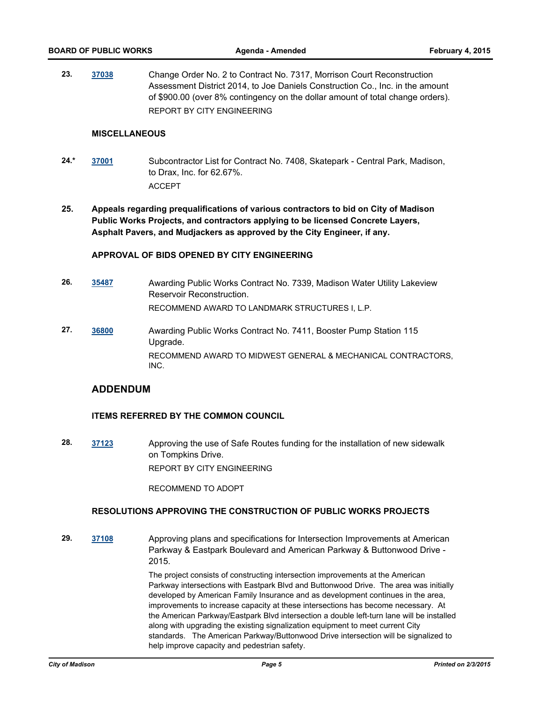**23. [37038](http://madison.legistar.com/gateway.aspx?m=l&id=/matter.aspx?key=39910)** Change Order No. 2 to Contract No. 7317, Morrison Court Reconstruction Assessment District 2014, to Joe Daniels Construction Co., Inc. in the amount of \$900.00 (over 8% contingency on the dollar amount of total change orders). REPORT BY CITY ENGINEERING

### **MISCELLANEOUS**

- **24.\* [37001](http://madison.legistar.com/gateway.aspx?m=l&id=/matter.aspx?key=39885)** Subcontractor List for Contract No. 7408, Skatepark Central Park, Madison, to Drax, Inc. for 62.67%. ACCEPT
- **25. Appeals regarding prequalifications of various contractors to bid on City of Madison Public Works Projects, and contractors applying to be licensed Concrete Layers, Asphalt Pavers, and Mudjackers as approved by the City Engineer, if any.**

### **APPROVAL OF BIDS OPENED BY CITY ENGINEERING**

- **26. [35487](http://madison.legistar.com/gateway.aspx?m=l&id=/matter.aspx?key=38563)** Awarding Public Works Contract No. 7339, Madison Water Utility Lakeview Reservoir Reconstruction. RECOMMEND AWARD TO LANDMARK STRUCTURES I, L.P.
- **27. [36800](http://madison.legistar.com/gateway.aspx?m=l&id=/matter.aspx?key=39721)** Awarding Public Works Contract No. 7411, Booster Pump Station 115 Upgrade. RECOMMEND AWARD TO MIDWEST GENERAL & MECHANICAL CONTRACTORS, INC.

## **ADDENDUM**

## **ITEMS REFERRED BY THE COMMON COUNCIL**

**28. [37123](http://madison.legistar.com/gateway.aspx?m=l&id=/matter.aspx?key=39977)** Approving the use of Safe Routes funding for the installation of new sidewalk on Tompkins Drive. REPORT BY CITY ENGINEERING

RECOMMEND TO ADOPT

## **RESOLUTIONS APPROVING THE CONSTRUCTION OF PUBLIC WORKS PROJECTS**

**29. [37108](http://madison.legistar.com/gateway.aspx?m=l&id=/matter.aspx?key=39962)** Approving plans and specifications for Intersection Improvements at American Parkway & Eastpark Boulevard and American Parkway & Buttonwood Drive - 2015.

> The project consists of constructing intersection improvements at the American Parkway intersections with Eastpark Blvd and Buttonwood Drive. The area was initially developed by American Family Insurance and as development continues in the area, improvements to increase capacity at these intersections has become necessary. At the American Parkway/Eastpark Blvd intersection a double left-turn lane will be installed along with upgrading the existing signalization equipment to meet current City standards. The American Parkway/Buttonwood Drive intersection will be signalized to help improve capacity and pedestrian safety.